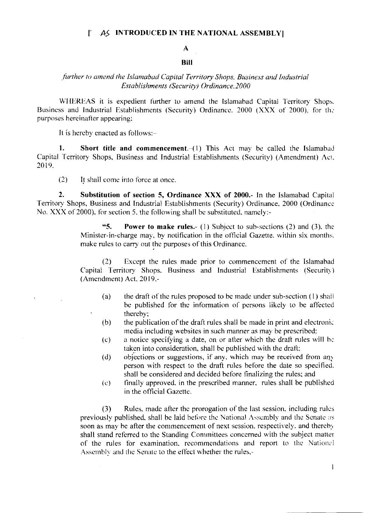#### AS INTRODUCED IN THE NATIONAL ASSEMBLY f.

# $\mathbf{A}$

#### **Bill**

### further to amend the Islamabad Capital Territory Shops, Business and Industrial Establishments (Security) Ordinance 2000

WHEREAS it is expedient further to amend the Islamabad Capital Territory Shops. Business and Industrial Establishments (Security) Ordinance. 2000 (XXX of 2000), for the purposes hereinafter appearing;

It is hereby enacted as follows:-

 $\ddot{\phantom{a}}$ 

1. **Short title and commencement**.  $-1$ ) This Act may be called the Islamabad Capital Territory Shops, Business and Industrial Establishments (Security) (Amendment) Act. 2019.

 $(2)$ It shall come into force at once.

 $2.$ Substitution of section 5, Ordinance XXX of 2000.- In the Islamabad Capital Territory Shops, Business and Industrial Establishments (Security) Ordinance, 2000 (Ordinance No. XXX of 2000), for section 5, the following shall be substituted, namely:-

> $65<sub>1</sub>$ **Power to make rules.** (1) Subject to sub-sections (2) and (3), the Minister-in-charge may, by notification in the official Gazette, within six months. make rules to carry out the purposes of this Ordinance.

> $(2)$ Except the rules made prior to commencement of the Islamabad Capital Territory Shops. Business and Industrial Establishments (Security) (Amendment) Act, 2019,-

- $(a)$ the draft of the rules proposed to be made under sub-section (1) shall be published for the information of persons likely to be affected thereby:
- the publication of the draft rules shall be made in print and electronic  $(b)$ media including websites in such manner as may be prescribed;
- a notice specifying a date, on or after which the draft rules will be  $(c)$ taken into consideration, shall be published with the draft;
- objections or suggestions, if any, which may be received from any  $(d)$ person with respect to the draft rules before the date so specified. shall be considered and decided before finalizing the rules; and
- finally approved, in the prescribed manner, rules shall be published  $(e)$ in the official Gazette.

 $(3)$ Rules, made after the prorogation of the last session, including rules previously published, shall be laid before the National Assembly and the Senate as soon as may be after the commencement of next session, respectively, and thereby shall stand referred to the Standing Committees concerned with the subject matter of the rules for examination, recommendations and report to the National Assembly and the Senate to the effect whether the rules,-